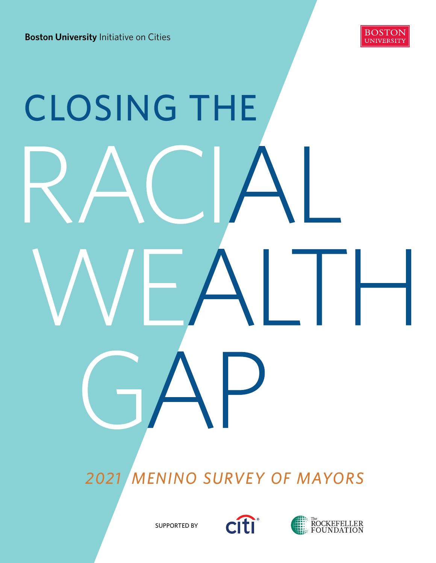

# CLOSING THE

 *2021 MENINO SURVEY OF MAYORS* 



SUPPORTED BY

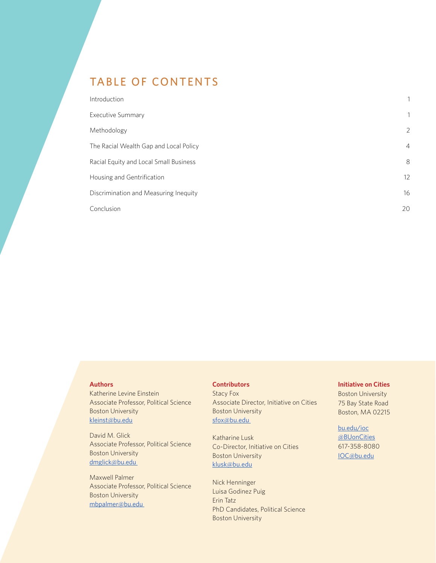# TABLE OF CONTENTS

| Introduction                           | 1              |
|----------------------------------------|----------------|
| <b>Executive Summary</b>               | 1              |
| Methodology                            | $\overline{2}$ |
| The Racial Wealth Gap and Local Policy | $\overline{4}$ |
| Racial Equity and Local Small Business | 8              |
| Housing and Gentrification             | 12             |
| Discrimination and Measuring Inequity  | 16             |
| Conclusion                             | 20             |

#### **Authors**

Katherine Levine Einstein Associate Professor, Political Science Boston University kleinst@bu.edu

David M. Glick Associate Professor, Political Science Boston University [dmglick@bu.edu](mailto:dmglick%40bu.edu%20%20?subject=) 

Maxwell Palmer Associate Professor, Political Science Boston University [mbpalmer@bu.edu](mailto:mbpalmer%40bu.edu%20%20?subject=) 

#### **Contributors**

Stacy Fox Associate Director, Initiative on Cities Boston University sfox@bu.edu

Katharine Lusk Co-Director, Initiative on Cities Boston University [klusk@bu.edu](mailto:klusk%40bu.edu%20?subject=)

Nick Henninger Luisa Godinez Puig Erin Tatz PhD Candidates, Political Science Boston University

#### **Initiative on Cities**

Boston University 75 Bay State Road Boston, MA 02215

#### [bu.edu/ioc](http://bu.edu/ioc ) [@BUonCities](https://twitter.com/BUonCities?ref_src=twsrc%5Egoogle%7Ctwcamp%5Eserp%7Ctwgr%5Eauthor) 617-358-8080 [IOC@bu.edu](mailto:IOC%40bu.edu?subject=)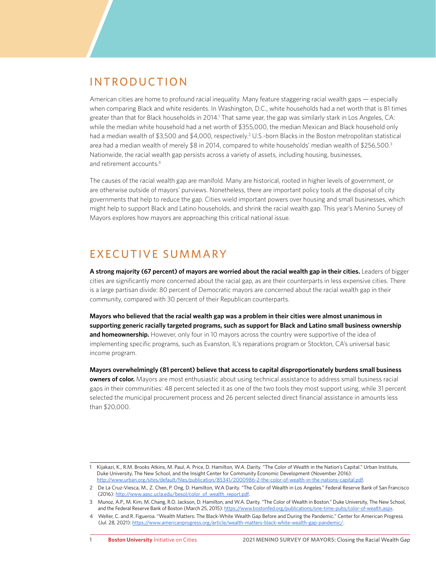## INTRODUCTION

American cities are home to profound racial inequality. Many feature staggering racial wealth gaps — especially when comparing Black and white residents. In Washington, D.C., white households had a net worth that is 81 times greater than that for Black households in 2014.<sup>1</sup> That same year, the gap was similarly stark in Los Angeles, CA: while the median white household had a net worth of \$355,000, the median Mexican and Black household only had a median wealth of \$3,500 and \$4,000, respectively.<sup>2</sup> U.S.-born Blacks in the Boston metropolitan statistical area had a median wealth of merely \$8 in 2014, compared to white households' median wealth of \$256,500.<sup>3</sup> Nationwide, the racial wealth gap persists across a variety of assets, including housing, businesses, and retirement accounts.4

The causes of the racial wealth gap are manifold. Many are historical, rooted in higher levels of government, or are otherwise outside of mayors' purviews. Nonetheless, there are important policy tools at the disposal of city governments that help to reduce the gap. Cities wield important powers over housing and small businesses, which might help to support Black and Latino households, and shrink the racial wealth gap. This year's Menino Survey of Mayors explores how mayors are approaching this critical national issue.

# EXECUTIVE SUMMARY

**A strong majority (67 percent) of mayors are worried about the racial wealth gap in their cities.** Leaders of bigger cities are significantly more concerned about the racial gap, as are their counterparts in less expensive cities. There is a large partisan divide: 80 percent of Democratic mayors are concerned about the racial wealth gap in their community, compared with 30 percent of their Republican counterparts.

**Mayors who believed that the racial wealth gap was a problem in their cities were almost unanimous in supporting generic racially targeted programs, such as support for Black and Latino small business ownership and homeownership.** However, only four in 10 mayors across the country were supportive of the idea of implementing specific programs, such as Evanston, IL's reparations program or Stockton, CA's universal basic income program.

**Mayors overwhelmingly (81 percent) believe that access to capital disproportionately burdens small business owners of color.** Mayors are most enthusiastic about using technical assistance to address small business racial gaps in their communities: 48 percent selected it as one of the two tools they most support using, while 31 percent selected the municipal procurement process and 26 percent selected direct financial assistance in amounts less than \$20,000.

<sup>1</sup> Kijakazi, K., R.M. Brooks Atkins, M. Paul, A. Price, D. Hamilton, W.A. Darity. "The Color of Wealth in the Nation's Capital." Urban Institute, Duke University, The New School, and the Insight Center for Community Economic Development (November 2016): [http://www.urban.org/sites/default/files/publication/85341/2000986-2-the-color-of-wealth-in-the-nations-capital.pdf.](http://www.urban.org/sites/default/files/publication/85341/2000986-2-the-color-of-wealth-in-the-nations-capital.pdf)

<sup>2</sup> De La Cruz-Viesca, M., Z. Chen, P. Ong, D. Hamilton, W.A Darity. "The Color of Wealth in Los Angeles." Federal Reserve Bank of San Francisco (2016): [http://www.aasc.ucla.edu/besol/color\\_of\\_wealth\\_report.pdf](http://www.aasc.ucla.edu/besol/color_of_wealth_report.pdf).

<sup>3</sup> Munoz, A.P., M. Kim, M. Chang, R.O. Jackson, D. Hamilton, and W.A. Darity. "The Color of Wealth in Boston." Duke University, The New School, and the Federal Reserve Bank of Boston (March 25, 2015):<https://www.bostonfed.org/publications/one-time-pubs/color-of-wealth.aspx>.

<sup>4</sup> Weller, C. and R. Figueroa. "Wealth Matters: The Black-White Wealth Gap Before and During the Pandemic." Center for American Progress (Jul. 28, 2021): <https://www.americanprogress.org/article/wealth-matters-black-white-wealth-gap-pandemic/>.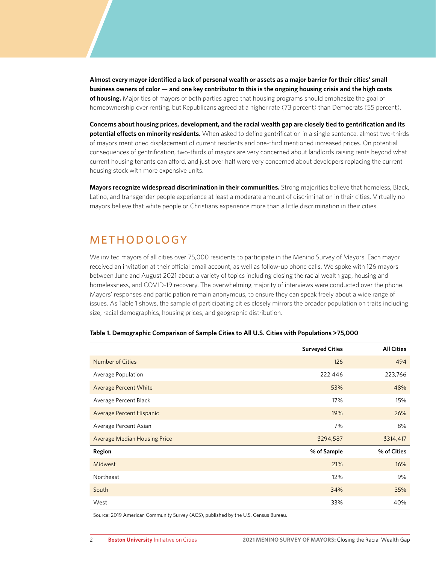**Almost every mayor identified a lack of personal wealth or assets as a major barrier for their cities' small business owners of color — and one key contributor to this is the ongoing housing crisis and the high costs of housing.** Majorities of mayors of both parties agree that housing programs should emphasize the goal of homeownership over renting, but Republicans agreed at a higher rate (73 percent) than Democrats (55 percent).

**Concerns about housing prices, development, and the racial wealth gap are closely tied to gentrification and its potential effects on minority residents.** When asked to define gentrification in a single sentence, almost two-thirds of mayors mentioned displacement of current residents and one-third mentioned increased prices. On potential consequences of gentrification, two-thirds of mayors are very concerned about landlords raising rents beyond what current housing tenants can afford, and just over half were very concerned about developers replacing the current housing stock with more expensive units.

**Mayors recognize widespread discrimination in their communities.** Strong majorities believe that homeless, Black, Latino, and transgender people experience at least a moderate amount of discrimination in their cities. Virtually no mayors believe that white people or Christians experience more than a little discrimination in their cities.

# **METHODOLOGY**

We invited mayors of all cities over 75,000 residents to participate in the Menino Survey of Mayors. Each mayor received an invitation at their official email account, as well as follow-up phone calls. We spoke with 126 mayors between June and August 2021 about a variety of topics including closing the racial wealth gap, housing and homelessness, and COVID-19 recovery. The overwhelming majority of interviews were conducted over the phone. Mayors' responses and participation remain anonymous, to ensure they can speak freely about a wide range of issues. As Table 1 shows, the sample of participating cities closely mirrors the broader population on traits including size, racial demographics, housing prices, and geographic distribution.

|                                     | <b>Surveyed Cities</b> | <b>All Cities</b> |
|-------------------------------------|------------------------|-------------------|
| <b>Number of Cities</b>             | 126                    | 494               |
| Average Population                  | 222,446                | 223,766           |
| <b>Average Percent White</b>        | 53%                    | 48%               |
| Average Percent Black               | 17%                    | 15%               |
| Average Percent Hispanic            | 19%                    | 26%               |
| Average Percent Asian               | 7%                     | 8%                |
| <b>Average Median Housing Price</b> | \$294,587              | \$314,417         |
| <b>Region</b>                       | % of Sample            | % of Cities       |
| Midwest                             | 21%                    | 16%               |
| Northeast                           | 12%                    | 9%                |
| South                               | 34%                    | 35%               |
| West                                | 33%                    | 40%               |

#### **Table 1. Demographic Comparison of Sample Cities to All U.S. Cities with Populations >75,000**

Source: 2019 American Community Survey (ACS), published by the U.S. Census Bureau.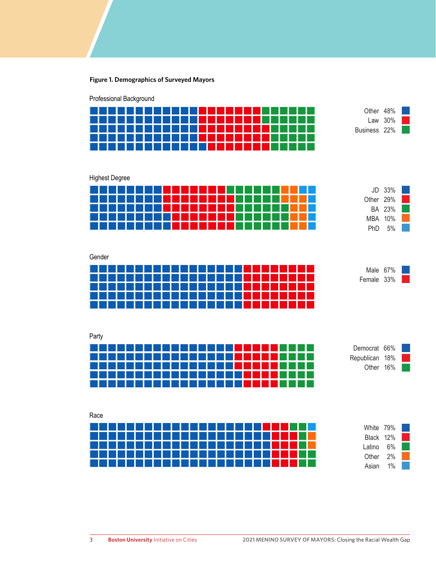#### **Figure 1. Demographics of Surveyed Mayors**

Professional Background

| .         |            |           |                                 | .<br>a sa ba | - 11 - 11<br>. | a sa B<br>Ш | Other        | 48%     |  |
|-----------|------------|-----------|---------------------------------|--------------|----------------|-------------|--------------|---------|--|
| a shekara | н          | $\sim 10$ | W<br>Ш<br>7 H                   |              |                |             |              | Law 30% |  |
| a shekara | ×.<br>Ш    |           | m.<br>a di Ba<br>Ш<br>a s       |              | a sa           |             | Business 22% |         |  |
| a shekara | - H<br>a H | a sa B    | Ш<br>m i<br>and the sea<br>- 11 |              | a sa           |             |              |         |  |
|           |            |           |                                 |              |                |             |              |         |  |

Highest Degree

| a sa Tan<br>.<br>ш<br>l II<br>M.<br>and the state of the state<br>- 11<br>Ш                                                                                                                                                               | JD         | 33%         |  |
|-------------------------------------------------------------------------------------------------------------------------------------------------------------------------------------------------------------------------------------------|------------|-------------|--|
| a sa Tan<br>Ш                                                                                                                                                                                                                             | Other      | $\cdot$ 29% |  |
| <b>The Common</b><br>Ш<br>m i                                                                                                                                                                                                             |            | BA 23%      |  |
| <b>The Company</b><br>Ш<br>- 11<br>Ш<br>Ш<br>- 11<br>ш                                                                                                                                                                                    | MBA        | 10%         |  |
| <b>The Contract of the Contract of the Contract of the Contract of the Contract of the Contract of the Contract of the Contract of the Contract of the Contract of the Contract of the Contract of the Contract of the Contract </b><br>Ш | <b>PhD</b> | 5%          |  |

Gender

| <b>TELEVISION</b><br>n a T<br>- 11<br>Ш<br>a shekara<br>a l<br>M.<br>- 1 | Male 67%   |
|--------------------------------------------------------------------------|------------|
| <b>Tara</b><br>W<br>Ш<br>- 11                                            | Female 33% |
| <b>TELEVISION</b><br>×.<br>Ш<br>- 11<br>Ш<br>Ш<br>×.                     |            |
| <b>Tara</b><br>m.<br>Ш<br>- 11<br>H<br>×.                                |            |

Party

| .<br>.<br>a ka<br>.<br>a sa B<br>- 11                                 | Democrat 66%   |
|-----------------------------------------------------------------------|----------------|
| <b>COLOR</b><br>m.<br>Ш<br>Ш<br>a shekara<br>m I<br>- 11<br>- 1<br>Ш  | Republican 18% |
| <b>Contract</b><br>M.<br>Ш<br>Ш<br>and the state of the state<br>a si | 16%<br>Other   |
| Ш<br>Ш<br>m I<br>Н                                                    |                |
|                                                                       |                |

Race White 79% Black 12% Latino 6% Other 2% Asian 1%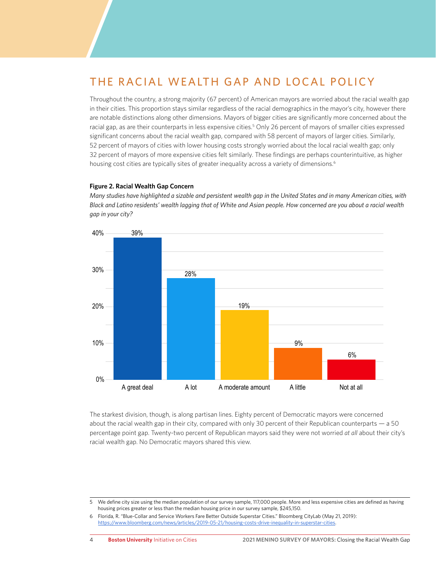# THE RACIAL WEALTH GAP AND LOCAL POLICY

Throughout the country, a strong majority (67 percent) of American mayors are worried about the racial wealth gap in their cities. This proportion stays similar regardless of the racial demographics in the mayor's city, however there are notable distinctions along other dimensions. Mayors of bigger cities are significantly more concerned about the racial gap, as are their counterparts in less expensive cities.<sup>5</sup> Only 26 percent of mayors of smaller cities expressed significant concerns about the racial wealth gap, compared with 58 percent of mayors of larger cities. Similarly, 52 percent of mayors of cities with lower housing costs strongly worried about the local racial wealth gap; only 32 percent of mayors of more expensive cities felt similarly. These findings are perhaps counterintuitive, as higher housing cost cities are typically sites of greater inequality across a variety of dimensions.<sup>6</sup>

#### **Figure 2. Racial Wealth Gap Concern**

*Many studies have highlighted a sizable and persistent wealth gap in the United States and in many American cities, with Black and Latino residents' wealth lagging that of White and Asian people. How concerned are you about a racial wealth gap in your city?*



The starkest division, though, is along partisan lines. Eighty percent of Democratic mayors were concerned about the racial wealth gap in their city, compared with only 30 percent of their Republican counterparts — a 50 percentage point gap. Twenty-two percent of Republican mayors said they were not worried *at all* about their city's racial wealth gap. No Democratic mayors shared this view.

<sup>5</sup> We define city size using the median population of our survey sample, 117,000 people. More and less expensive cities are defined as having housing prices greater or less than the median housing price in our survey sample, \$245,150.

<sup>6</sup> Florida, R. "Blue-Collar and Service Workers Fare Better Outside Superstar Cities." Bloomberg CityLab (May 21, 2019): [https://www.bloomberg.com/news/articles/2019-05-21/housing-costs-drive-inequality-in-superstar-cities.](https://www.bloomberg.com/news/articles/2019-05-21/housing-costs-drive-inequality-in-superstar-cities)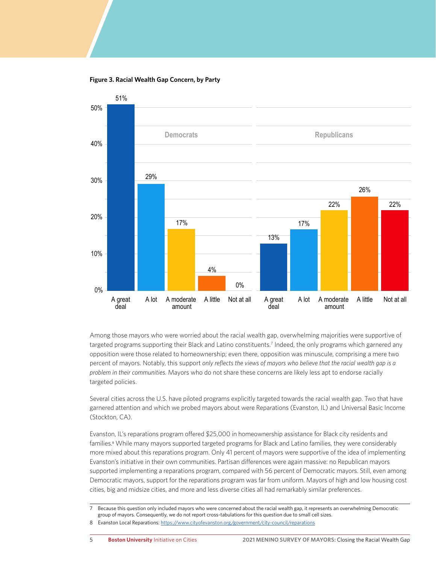**Figure 3. Racial Wealth Gap Concern, by Party**



Among those mayors who were worried about the racial wealth gap, overwhelming majorities were supportive of targeted programs supporting their Black and Latino constituents.<sup>7</sup> Indeed, the only programs which garnered any opposition were those related to homeownership; even there, opposition was minuscule, comprising a mere two percent of mayors. Notably, this support *only reflects the views of mayors who believe that the racial wealth gap is a problem in their communities.* Mayors who do not share these concerns are likely less apt to endorse racially targeted policies.

Several cities across the U.S. have piloted programs explicitly targeted towards the racial wealth gap. Two that have garnered attention and which we probed mayors about were Reparations (Evanston, IL) and Universal Basic Income (Stockton, CA).

Evanston, IL's reparations program offered \$25,000 in homeownership assistance for Black city residents and families.<sup>8</sup> While many mayors supported targeted programs for Black and Latino families, they were considerably more mixed about this reparations program. Only 41 percent of mayors were supportive of the idea of implementing Evanston's initiative in their own communities. Partisan differences were again massive: no Republican mayors supported implementing a reparations program, compared with 56 percent of Democratic mayors. Still, even among Democratic mayors, support for the reparations program was far from uniform. Mayors of high and low housing cost cities, big and midsize cities, and more and less diverse cities all had remarkably similar preferences.

7 Because this question only included mayors who were concerned about the racial wealth gap, it represents an overwhelming Democratic group of mayors. Consequently, we do not report cross-tabulations for this question due to small cell sizes.

8 Evanston Local Reparations: https://www.cityofevanston.org/government/city-council/reparations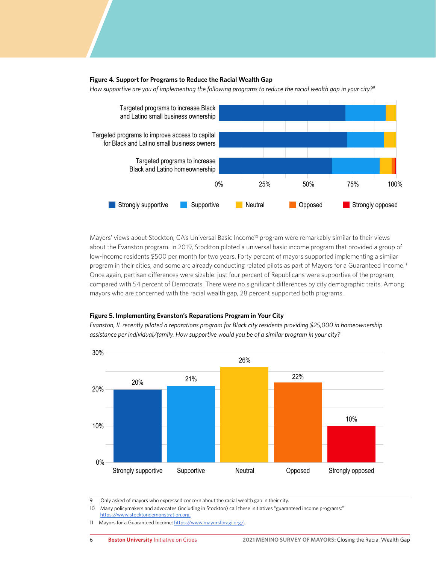#### **Figure 4. Support for Programs to Reduce the Racial Wealth Gap**



*How supportive are you of implementing the following programs to reduce the racial wealth gap in your city?9*

Mayors' views about Stockton, CA's Universal Basic Income<sup>10</sup> program were remarkably similar to their views about the Evanston program. In 2019, Stockton piloted a universal basic income program that provided a group of low-income residents \$500 per month for two years. Forty percent of mayors supported implementing a similar program in their cities, and some are already conducting related pilots as part of Mayors for a Guaranteed Income.<sup>11</sup> Once again, partisan differences were sizable: just four percent of Republicans were supportive of the program, compared with 54 percent of Democrats. There were no significant differences by city demographic traits. Among mayors who are concerned with the racial wealth gap, 28 percent supported both programs.

#### **Figure 5. Implementing Evanston's Reparations Program in Your City** 40%

*Evanston, IL recently piloted a reparations program for Black city residents providing \$25,000 in homeownership assistance per individual/family. How supportive would you be of a similar program in your city?*



9 Only asked of mayors who expressed concern about the racial wealth gap in their city.

10 Many policymakers and advocates (including in Stockton) call these initiatives "guaranteed income programs:" <https://www.stocktondemonstration.org>.

<sup>11</sup> Mayors for a Guaranteed Income: [https://www.mayorsforagi.org/.](https://www.mayorsforagi.org/)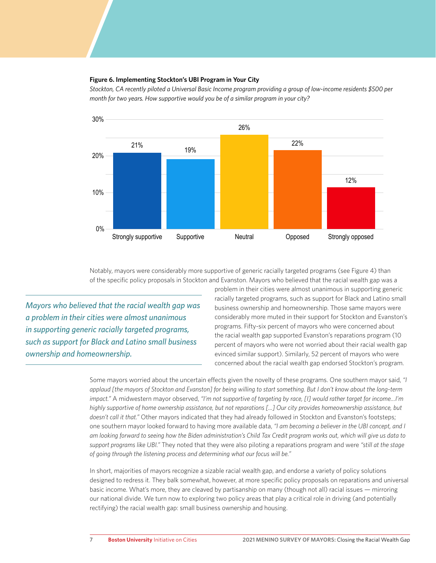### **Figure 6. Implementing Stockton's UBI Program in Your City**  40%

*Stockton, CA recently piloted a Universal Basic Income program providing a group of low-income residents \$500 per month for two years. How supportive would you be of a similar program in your city?*



Notably, mayors were considerably more supportive of generic racially targeted programs (see Figure 4) than of the specific policy proposals in Stockton and Evanston. Mayors who believed that the racial wealth gap was a

*Mayors who believed that the racial wealth gap was a problem in their cities were almost unanimous in supporting generic racially targeted programs, such as support for Black and Latino small business ownership and homeownership.*

problem in their cities were almost unanimous in supporting generic racially targeted programs, such as support for Black and Latino small business ownership and homeownership. Those same mayors were considerably more muted in their support for Stockton and Evanston's programs. Fifty-six percent of mayors who were concerned about the racial wealth gap supported Evanston's reparations program (10 percent of mayors who were not worried about their racial wealth gap evinced similar support). Similarly, 52 percent of mayors who were concerned about the racial wealth gap endorsed Stockton's program.

Some mayors worried about the uncertain effects given the novelty of these programs. One southern mayor said, *"I applaud [the mayors of Stockton and Evanston] for being willing to start something. But I don't know about the long-term impact."* A midwestern mayor observed, *"I'm not supportive of targeting by race, [I] would rather target for income…I'm highly supportive of home ownership assistance, but not reparations [...] Our city provides homeownership assistance, but doesn't call it that."* Other mayors indicated that they had already followed in Stockton and Evanston's footsteps; one southern mayor looked forward to having more available data, *"I am becoming a believer in the UBI concept, and I am looking forward to seeing how the Biden administration's Child Tax Credit program works out, which will give us data to support programs like UBI."* They noted that they were also piloting a reparations program and were *"still at the stage of going through the listening process and determining what our focus will be."* 

In short, majorities of mayors recognize a sizable racial wealth gap, and endorse a variety of policy solutions designed to redress it. They balk somewhat, however, at more specific policy proposals on reparations and universal basic income. What's more, they are cleaved by partisanship on many (though not all) racial issues — mirroring our national divide. We turn now to exploring two policy areas that play a critical role in driving (and potentially rectifying) the racial wealth gap: small business ownership and housing.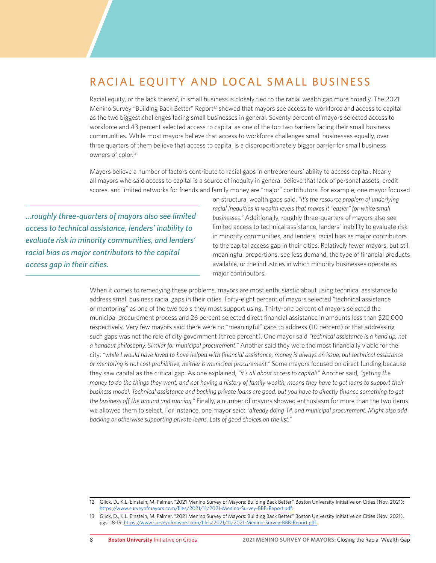# RACIAL EQUITY AND LOCAL SMALL BUSINESS

Racial equity, or the lack thereof, in small business is closely tied to the racial wealth gap more broadly. The 2021 Menino Survey "Building Back Better" Report<sup>12</sup> showed that mayors see access to workforce and access to capital as the two biggest challenges facing small businesses in general. Seventy percent of mayors selected access to workforce and 43 percent selected access to capital as one of the top two barriers facing their small business communities. While most mayors believe that access to workforce challenges small businesses equally, over three quarters of them believe that access to capital is a disproportionately bigger barrier for small business owners of color<sup>13</sup>

Mayors believe a number of factors contribute to racial gaps in entrepreneurs' ability to access capital. Nearly all mayors who said access to capital is a source of inequity in general believe that lack of personal assets, credit scores, and limited networks for friends and family money are "major" contributors. For example, one mayor focused

*...roughly three-quarters of mayors also see limited access to technical assistance, lenders' inability to evaluate risk in minority communities, and lenders' racial bias as major contributors to the capital access gap in their cities.*

on structural wealth gaps said, *"it's the resource problem of underlying racial inequities in wealth levels that makes it "easier" for white small businesses."* Additionally, roughly three-quarters of mayors also see limited access to technical assistance, lenders' inability to evaluate risk in minority communities, and lenders' racial bias as major contributors to the capital access gap in their cities. Relatively fewer mayors, but still meaningful proportions, see less demand, the type of financial products available, or the industries in which minority businesses operate as major contributors.

When it comes to remedying these problems, mayors are most enthusiastic about using technical assistance to address small business racial gaps in their cities. Forty-eight percent of mayors selected "technical assistance or mentoring" as one of the two tools they most support using. Thirty-one percent of mayors selected the municipal procurement process and 26 percent selected direct financial assistance in amounts less than \$20,000 respectively. Very few mayors said there were no "meaningful" gaps to address (10 percent) or that addressing such gaps was not the role of city government (three percent). One mayor said *"technical assistance is a hand up, not a handout philosophy. Similar for municipal procurement."* Another said they were the most financially viable for the city: *"while I would have loved to have helped with financial assistance, money is always an issue, but technical assistance or mentoring is not cost prohibitive, neither is municipal procurement."* Some mayors focused on direct funding because they saw capital as the critical gap. As one explained, *"it's all about access to capital!"* Another said, *"getting the money to do the things they want, and not having a history of family wealth, means they have to get loans to support their business model. Technical assistance and backing private loans are good, but you have to directly finance something to get the business off the ground and running."* Finally, a number of mayors showed enthusiasm for more than the two items we allowed them to select. For instance, one mayor said: *"already doing TA and municipal procurement. Might also add backing or otherwise supporting private loans. Lots of good choices on the list."*

<sup>12</sup> Glick, D., K.L. Einstein, M. Palmer. "2021 Menino Survey of Mayors: Building Back Better." Boston University Initiative on Cities (Nov. 2021): [https://www.surveyofmayors.com/files/2021/11/2021-Menino-Survey-BBB-Report.pdf.](https://www.surveyofmayors.com/files/2021/11/2021-Menino-Survey-BBB-Report.pdf)

<sup>13</sup> Glick, D., K.L. Einstein, M. Palmer. "2021 Menino Survey of Mayors: Building Back Better." Boston University Initiative on Cities (Nov. 2021), pgs. 18-19: [https://www.surveyofmayors.com/files/2021/11/2021-Menino-Survey-BBB-Report.pdf.](https://www.surveyofmayors.com/files/2021/11/2021-Menino-Survey-BBB-Report.pdf)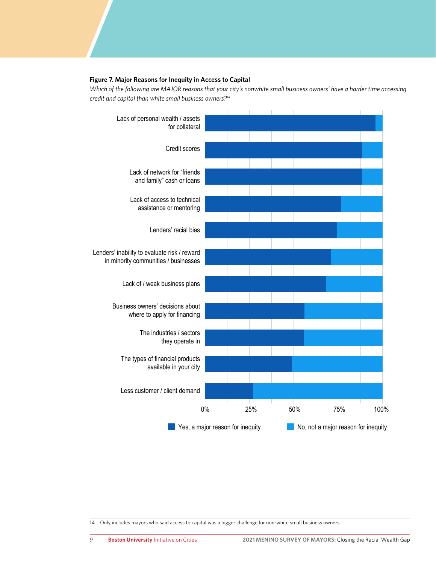#### **Figure 7. Major Reasons for Inequity in Access to Capital**

*Which of the following are MAJOR reasons that your city's nonwhite small business owners' have a harder time accessing credit and capital than white small business owners?14*



14 Only includes mayors who said access to capital was a bigger challenge for non-white small business owners.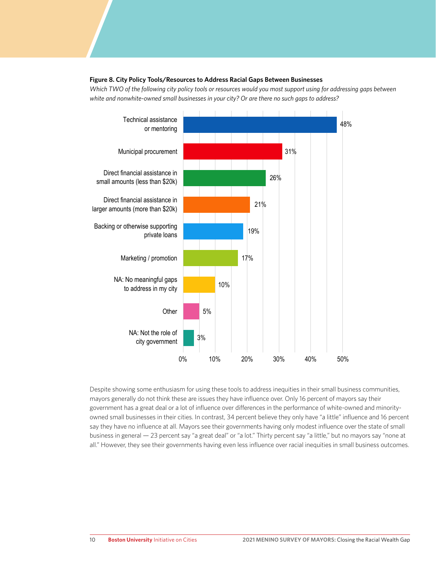#### **Figure 8. City Policy Tools/Resources to Address Racial Gaps Between Businesses**

*Which TWO of the following city policy tools or resources would you most support using for addressing gaps between white and nonwhite-owned small businesses in your city? Or are there no such gaps to address?* 



Despite showing some enthusiasm for using these tools to address inequities in their small business communities, mayors generally do not think these are issues they have influence over. Only 16 percent of mayors say their government has a great deal or a lot of influence over differences in the performance of white-owned and minorityowned small businesses in their cities. In contrast, 34 percent believe they only have "a little" influence and 16 percent say they have no influence at all. Mayors see their governments having only modest influence over the state of small business in general — 23 percent say "a great deal" or "a lot." Thirty percent say "a little," but no mayors say "none at all." However, they see their governments having even less influence over racial inequities in small business outcomes.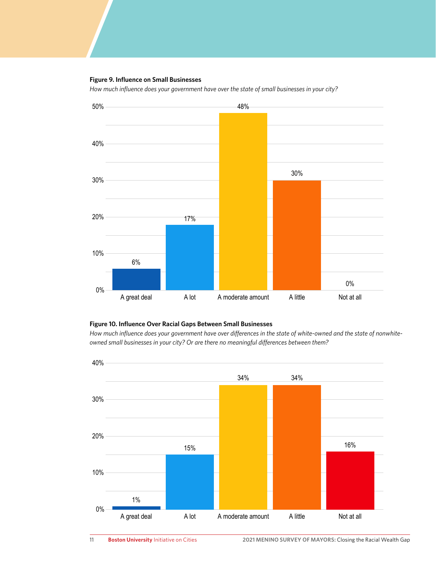#### **Figure 9. Influence on Small Businesses**

*How much influence does your government have over the state of small businesses in your city?*



#### **Figure 10. Influence Over Racial Gaps Between Small Businesses**

*How much influence does your government have over differences in the state of white-owned and the state of nonwhiteowned small businesses in your city? Or are there no meaningful differences between them?* 

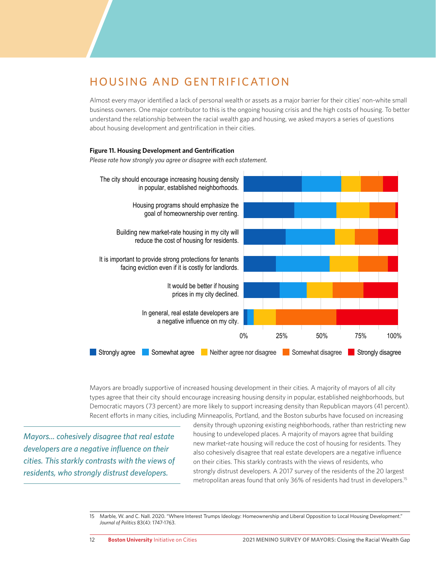# HOUSING AND GENTRIFICATION

Almost every mayor identified a lack of personal wealth or assets as a major barrier for their cities' non-white small business owners. One major contributor to this is the ongoing housing crisis and the high costs of housing. To better understand the relationship between the racial wealth gap and housing, we asked mayors a series of questions about housing development and gentrification in their cities.

#### **Figure 11. Housing Development and Gentrification**

*Please rate how strongly you agree or disagree with each statement.*



Mayors are broadly supportive of increased housing development in their cities. A majority of mayors of all city types agree that their city should encourage increasing housing density in popular, established neighborhoods, but Democratic mayors (73 percent) are more likely to support increasing density than Republican mayors (41 percent). Recent efforts in many cities, including Minneapolis, Portland, and the Boston suburbs have focused on increasing

*Mayors... cohesively disagree that real estate developers are a negative influence on their cities. This starkly contrasts with the views of residents, who strongly distrust developers.*

density through upzoning existing neighborhoods, rather than restricting new housing to undeveloped places. A majority of mayors agree that building new market-rate housing will reduce the cost of housing for residents. They also cohesively disagree that real estate developers are a negative influence on their cities. This starkly contrasts with the views of residents, who strongly distrust developers. A 2017 survey of the residents of the 20 largest metropolitan areas found that only 36% of residents had trust in developers.15

<sup>15</sup> Marble, W. and C. Nall. 2020. "Where Interest Trumps Ideology: Homeownership and Liberal Opposition to Local Housing Development." *Journal of Politics* 83(4): 1747-1763.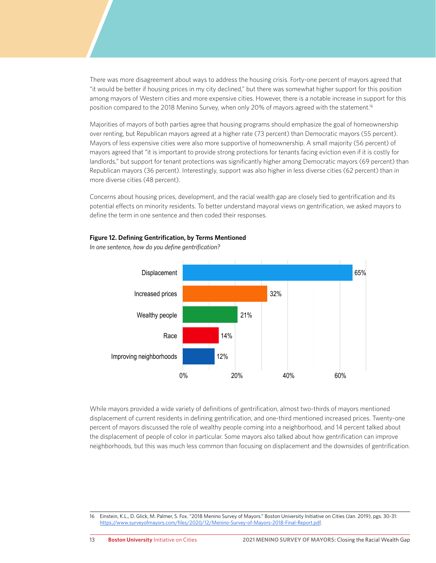There was more disagreement about ways to address the housing crisis. Forty-one percent of mayors agreed that "it would be better if housing prices in my city declined," but there was somewhat higher support for this position among mayors of Western cities and more expensive cities. However, there is a notable increase in support for this position compared to the 2018 Menino Survey, when only 20% of mayors agreed with the statement.<sup>16</sup>

Majorities of mayors of both parties agree that housing programs should emphasize the goal of homeownership over renting, but Republican mayors agreed at a higher rate (73 percent) than Democratic mayors (55 percent). Mayors of less expensive cities were also more supportive of homeownership. A small majority (56 percent) of mayors agreed that "it is important to provide strong protections for tenants facing eviction even if it is costly for landlords," but support for tenant protections was significantly higher among Democratic mayors (69 percent) than Republican mayors (36 percent). Interestingly, support was also higher in less diverse cities (62 percent) than in more diverse cities (48 percent).

Concerns about housing prices, development, and the racial wealth gap are closely tied to gentrification and its potential effects on minority residents. To better understand mayoral views on gentrification, we asked mayors to define the term in one sentence and then coded their responses.



#### **Figure 12. Defining Gentrification, by Terms Mentioned**

*In one sentence, how do you define gentrification?*

While mayors provided a wide variety of definitions of gentrification, almost two-thirds of mayors mentioned displacement of current residents in defining gentrification, and one-third mentioned increased prices. Twenty-one percent of mayors discussed the role of wealthy people coming into a neighborhood, and 14 percent talked about the displacement of people of color in particular. Some mayors also talked about how gentrification can improve neighborhoods, but this was much less common than focusing on displacement and the downsides of gentrification.

16 Einstein, K.L., D. Glick, M. Palmer, S. Fox. "2018 Menino Survey of Mayors." Boston University Initiative on Cities (Jan. 2019), pgs. 30-31:

[https://www.surveyofmayors.com/files/2020/12/Menino-Survey-of-Mayors-2018-Final-Report.pdf.](https://www.surveyofmayors.com/files/2020/12/Menino-Survey-of-Mayors-2018-Final-Report.pdf)

13 **Boston University** Initiative on Cities **2021 MENINO SURVEY OF MAYORS:** Closing the Racial Wealth Gap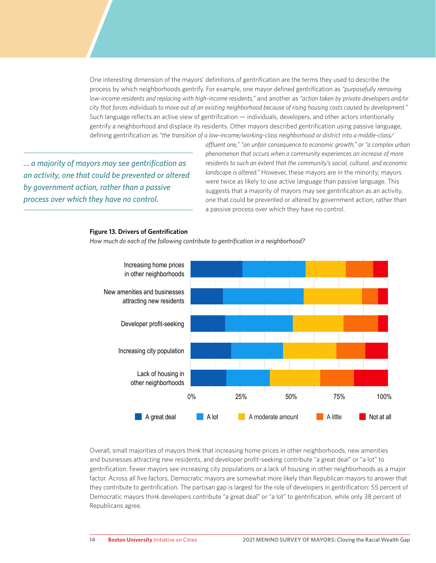One interesting dimension of the mayors' definitions of gentrification are the terms they used to describe the process by which neighborhoods gentrify. For example, one mayor defined gentrification as *"purposefully removing low-income residents and replacing with high-income residents,"* and another as *"action taken by private developers and/or city that forces individuals to move out of an existing neighborhood because of rising housing costs caused by development."* Such language reflects an active view of gentrification — individuals, developers, and other actors intentionally gentrify a neighborhood and displace its residents. Other mayors described gentrification using passive language, defining gentrification as *"the transition of a low-income/working-class neighborhood or district into a middle-class/*

*... a majority of mayors may see gentrification as an activity, one that could be prevented or altered by government action, rather than a passive process over which they have no control.*

*affluent one," "an unfair consequence to economic growth," or "a complex urban phenomenon that occurs when a community experiences an increase of more residents to such an extent that the community's social, cultural, and economic landscape is altered."* However, these mayors are in the minority; mayors were twice as likely to use active language than passive language. This suggests that a majority of mayors may see gentrification as an activity, one that could be prevented or altered by government action, rather than a passive process over which they have no control.

# Lack of housing in other neighborhoods Increasing city population Developer profit-seeking New amenities and businesses attracting new residents Increasing home prices in other neighborhoods 0% 25% 50% 75% 100% **A great deal A lot** A moderate amount A little **Not at all**

#### Overall, small majorities of mayors think that increasing home prices in other neighborhoods, new amenities and businesses attracting new residents, and developer profit-seeking contribute "a great deal" or "a lot" to gentrification. Fewer mayors see increasing city populations or a lack of housing in other neighborhoods as a major factor. Across all five factors, Democratic mayors are somewhat more likely than Republican mayors to answer that they contribute to gentrification. The partisan gap is largest for the role of developers in gentrification: 55 percent of Democratic mayors think developers contribute "a great deal" or "a lot" to gentrification, while only 38 percent of Republicans agree.

#### **Figure 13. Drivers of Gentrification**

*How much do each of the following contribute to gentrification in a neighborhood?*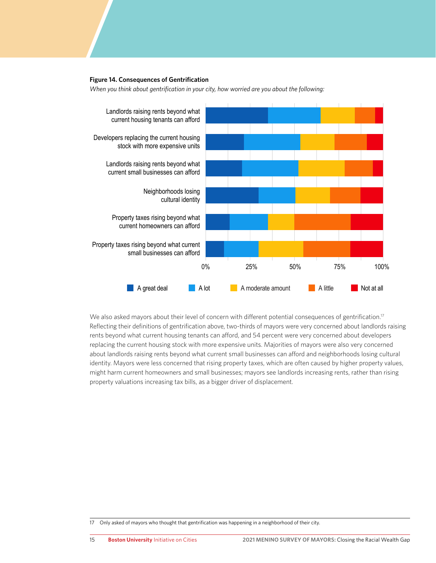#### **Figure 14. Consequences of Gentrification**

*When you think about gentrification in your city, how worried are you about the following:*



We also asked mayors about their level of concern with different potential consequences of gentrification.<sup>17</sup> Reflecting their definitions of gentrification above, two-thirds of mayors were very concerned about landlords raising rents beyond what current housing tenants can afford, and 54 percent were very concerned about developers replacing the current housing stock with more expensive units. Majorities of mayors were also very concerned about landlords raising rents beyond what current small businesses can afford and neighborhoods losing cultural identity. Mayors were less concerned that rising property taxes, which are often caused by higher property values, might harm current homeowners and small businesses; mayors see landlords increasing rents, rather than rising property valuations increasing tax bills, as a bigger driver of displacement.

<sup>17</sup> Only asked of mayors who thought that gentrification was happening in a neighborhood of their city.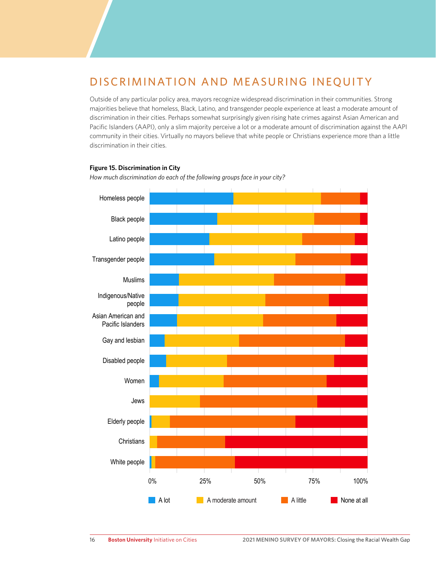# DISCRIMINATION AND MEASURING INEQUITY

Outside of any particular policy area, mayors recognize widespread discrimination in their communities. Strong majorities believe that homeless, Black, Latino, and transgender people experience at least a moderate amount of discrimination in their cities. Perhaps somewhat surprisingly given rising hate crimes against Asian American and Pacific Islanders (AAPI), only a slim majority perceive a lot or a moderate amount of discrimination against the AAPI community in their cities. Virtually no mayors believe that white people or Christians experience more than a little discrimination in their cities.

#### **Figure 15. Discrimination in City**

*How much discrimination do each of the following groups face in your city?*

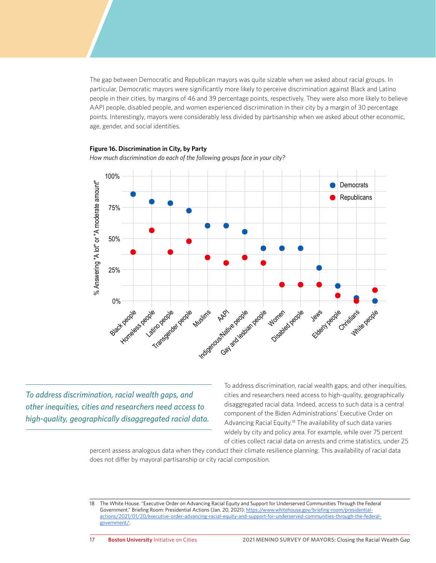The gap between Democratic and Republican mayors was quite sizable when we asked about racial groups. In particular, Democratic mayors were significantly more likely to perceive discrimination against Black and Latino people in their cities, by margins of 46 and 39 percentage points, respectively. They were also more likely to believe AAPI people, disabled people, and women experienced discrimination in their city by a margin of 30 percentage points. Interestingly, mayors were considerably less divided by partisanship when we asked about other economic, age, gender, and social identities.

#### **Figure 16. Discrimination in City, by Party**



*How much discrimination do each of the following groups face in your city?*

*To address discrimination, racial wealth gaps, and other inequities, cities and researchers need access to high-quality, geographically disaggregated racial data.* 

To address discrimination, racial wealth gaps, and other inequities, cities and researchers need access to high-quality, geographically disaggregated racial data. Indeed, access to such data is a central component of the Biden Administrations' Executive Order on Advancing Racial Equity.<sup>18</sup> The availability of such data varies widely by city and policy area. For example, while over 75 percent of cities collect racial data on arrests and crime statistics, under 25

percent assess analogous data when they conduct their climate resilience planning. This availability of racial data does not differ by mayoral partisanship or city racial composition.

<sup>18</sup> The White House. "Executive Order on Advancing Racial Equity and Support for Underserved Communities Through the Federal Government." Briefing Room: Presidential Actions (Jan. 20, 2021): [https://www.whitehouse.gov/briefing-room/presidential](https://www.whitehouse.gov/briefing-room/presidential-actions/2021/01/20/executive-order-advancing-racial-equity-and-support-for-underserved-communities-through-the-federal-government/)[actions/2021/01/20/executive-order-advancing-racial-equity-and-support-for-underserved-communities-through-the-federal](https://www.whitehouse.gov/briefing-room/presidential-actions/2021/01/20/executive-order-advancing-racial-equity-and-support-for-underserved-communities-through-the-federal-government/)[government/.](https://www.whitehouse.gov/briefing-room/presidential-actions/2021/01/20/executive-order-advancing-racial-equity-and-support-for-underserved-communities-through-the-federal-government/)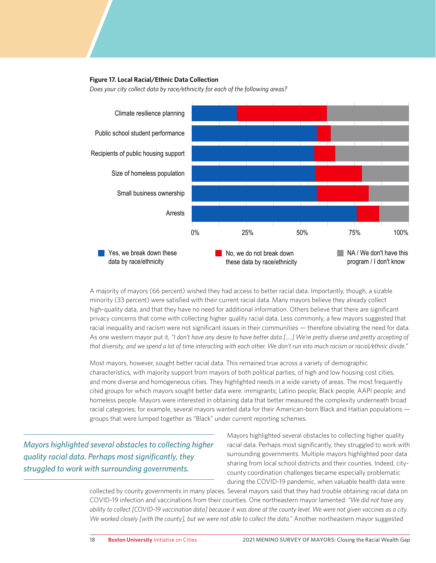#### **Figure 17. Local Racial/Ethnic Data Collection**

*Does your city collect data by race/ethnicity for each of the following areas?*



A majority of mayors (66 percent) wished they had access to better racial data. Importantly, though, a sizable minority (33 percent) were satisfied with their current racial data. Many mayors believe they already collect high-quality data, and that they have no need for additional information. Others believe that there are significant privacy concerns that come with collecting higher quality racial data. Less commonly, a few mayors suggested that racial inequality and racism were not significant issues in their communities — therefore obviating the need for data. As one western mayor put it, *"I don't have any desire to have better data [….] We're pretty diverse and pretty accepting of that diversity, and we spend a lot of time interacting with each other. We don't run into much racism or racial/ethnic divide."* 

Most mayors, however, sought better racial data. This remained true across a variety of demographic characteristics, with majority support from mayors of both political parties, of high and low housing cost cities, and more diverse and homogeneous cities. They highlighted needs in a wide variety of areas. The most frequently cited groups for which mayors sought better data were: immigrants; Latino people; Black people; AAPI people; and homeless people. Mayors were interested in obtaining data that better measured the complexity underneath broad racial categories; for example, several mayors wanted data for their American-born Black and Haitian populations groups that were lumped together as "Black" under current reporting schemes.

*Mayors highlighted several obstacles to collecting higher quality racial data. Perhaps most significantly, they struggled to work with surrounding governments.*

Mayors highlighted several obstacles to collecting higher quality racial data. Perhaps most significantly, they struggled to work with surrounding governments. Multiple mayors highlighted poor data sharing from local school districts and their counties. Indeed, citycounty coordination challenges became especially problematic during the COVID-19 pandemic, when valuable health data were

collected by county governments in many places. Several mayors said that they had trouble obtaining racial data on COVID-19 infection and vaccinations from their counties. One northeastern mayor lamented: *"We did not have any ability to collect [COVID-19 vaccination data] because it was done at the county level. We were not given vaccines as a city. We worked closely [with the county], but we were not able to collect the data."* Another northeastern mayor suggested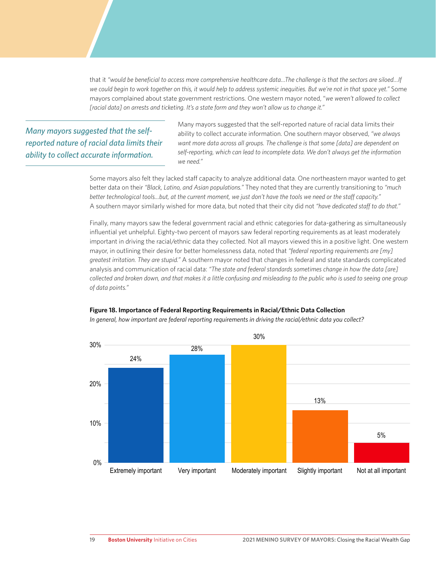that it *"would be beneficial to access more comprehensive healthcare data…The challenge is that the sectors are siloed…If we could begin to work together on this, it would help to address systemic inequities. But we're not in that space yet."* Some mayors complained about state government restrictions. One western mayor noted, "*we weren't allowed to collect [racial data] on arrests and ticketing. It's a state form and they won't allow us to change it."*

*Many mayors suggested that the selfreported nature of racial data limits their ability to collect accurate information.*

Many mayors suggested that the self-reported nature of racial data limits their ability to collect accurate information. One southern mayor observed, *"we always want more data across all groups. The challenge is that some [data] are dependent on self-reporting, which can lead to incomplete data. We don't always get the information we need."* 

Some mayors also felt they lacked staff capacity to analyze additional data. One northeastern mayor wanted to get better data on their *"Black, Latino, and Asian populations."* They noted that they are currently transitioning to *"much better technological tools…but, at the current moment, we just don't have the tools we need or the staff capacity."* A southern mayor similarly wished for more data, but noted that their city did not *"have dedicated staff to do that."*

Finally, many mayors saw the federal government racial and ethnic categories for data-gathering as simultaneously influential yet unhelpful. Eighty-two percent of mayors saw federal reporting requirements as at least moderately important in driving the racial/ethnic data they collected. Not all mayors viewed this in a positive light. One western mayor, in outlining their desire for better homelessness data, noted that *"federal reporting requirements are [my] greatest irritation. They are stupid."* A southern mayor noted that changes in federal and state standards complicated analysis and communication of racial data: *"The state and federal standards sometimes change in how the data [are] collected and broken down, and that makes it a little confusing and misleading to the public who is used to seeing one group of data points."* 



*In general, how important are federal reporting requirements in driving the racial/ethnic data you collect?*

**Figure 18. Importance of Federal Reporting Requirements in Racial/Ethnic Data Collection**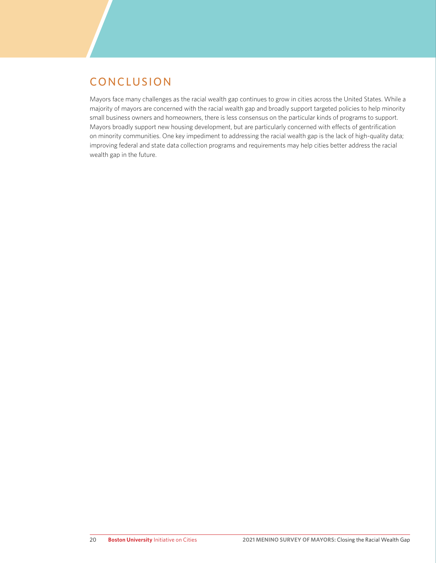# CONCLUSION

Mayors face many challenges as the racial wealth gap continues to grow in cities across the United States. While a majority of mayors are concerned with the racial wealth gap and broadly support targeted policies to help minority small business owners and homeowners, there is less consensus on the particular kinds of programs to support. Mayors broadly support new housing development, but are particularly concerned with effects of gentrification on minority communities. One key impediment to addressing the racial wealth gap is the lack of high-quality data; improving federal and state data collection programs and requirements may help cities better address the racial wealth gap in the future.